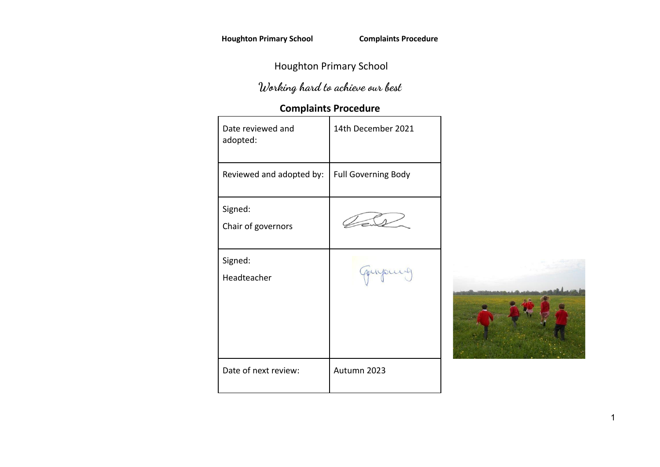# Houghton Primary School

# **Working hard to achieve our best**

# **Complaints Procedure**

| Date reviewed and<br>adopted: | 14th December 2021         |  |
|-------------------------------|----------------------------|--|
| Reviewed and adopted by:      | <b>Full Governing Body</b> |  |
| Signed:<br>Chair of governors |                            |  |
| Signed:<br>Headteacher        |                            |  |
| Date of next review:          | Autumn 2023                |  |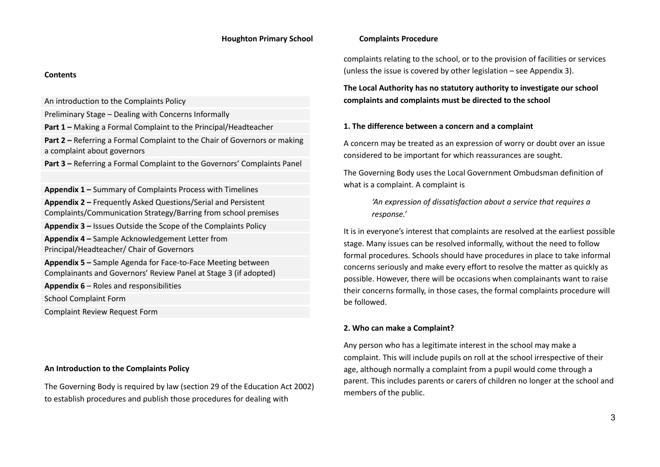#### **Contents**

An introduction to the Complaints Policy

Preliminary Stage – Dealing with Concerns Informally

**Part 1 –** Making a Formal Complaint to the Principal/Headteacher

**Part 2 –** Referring a Formal Complaint to the Chair of Governors or making a complaint about governors

**Part 3 –** Referring a Formal Complaint to the Governors' Complaints Panel

**Appendix 1 –** Summary of Complaints Process with Timelines **Appendix 2 –** Frequently Asked Questions/Serial and Persistent Complaints/Communication Strategy/Barring from school premises **Appendix 3 –** Issues Outside the Scope of the Complaints Policy **Appendix 4 –** Sample Acknowledgement Letter from Principal/Headteacher/ Chair of Governors **Appendix 5 –** Sample Agenda for Face-to-Face Meeting between Complainants and Governors' Review Panel at Stage 3 (if adopted)

**Appendix 6** – Roles and responsibilities

School Complaint Form

Complaint Review Request Form

#### **An Introduction to the Complaints Policy**

The Governing Body is required by law (section 29 of the Education Act 2002) to establish procedures and publish those procedures for dealing with

complaints relating to the school, or to the provision of facilities or services (unless the issue is covered by other legislation – see Appendix 3).

**The Local Authority has no statutory authority to investigate our school complaints and complaints must be directed to the school**

#### **1. The difference between a concern and a complaint**

A concern may be treated as an expression of worry or doubt over an issue considered to be important for which reassurances are sought.

The Governing Body uses the Local Government Ombudsman definition of what is a complaint. A complaint is

> *'An expression of dissatisfaction about a service that requires a response.'*

It is in everyone's interest that complaints are resolved at the earliest possible stage. Many issues can be resolved informally, without the need to follow formal procedures. Schools should have procedures in place to take informal concerns seriously and make every effort to resolve the matter as quickly as possible. However, there will be occasions when complainants want to raise their concerns formally, in those cases, the formal complaints procedure will be followed.

### **2. Who can make a Complaint?**

Any person who has a legitimate interest in the school may make a complaint. This will include pupils on roll at the school irrespective of their age, although normally a complaint from a pupil would come through a parent. This includes parents or carers of children no longer at the school and members of the public.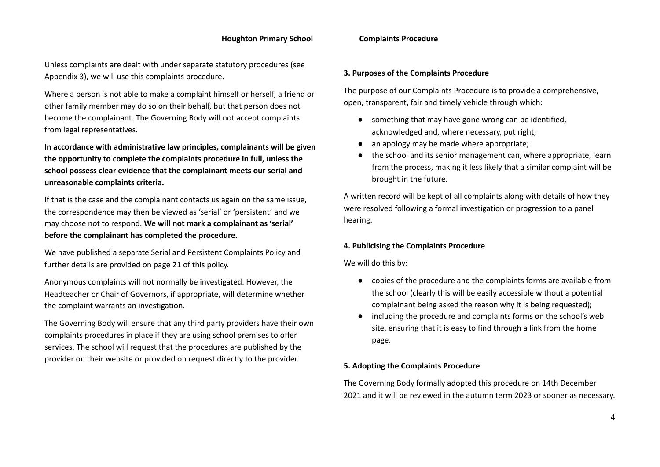Unless complaints are dealt with under separate statutory procedures (see Appendix 3), we will use this complaints procedure.

Where a person is not able to make a complaint himself or herself, a friend or other family member may do so on their behalf, but that person does not become the complainant. The Governing Body will not accept complaints from legal representatives.

**In accordance with administrative law principles, complainants will be given the opportunity to complete the complaints procedure in full, unless the school possess clear evidence that the complainant meets our serial and unreasonable complaints criteria.**

If that is the case and the complainant contacts us again on the same issue, the correspondence may then be viewed as 'serial' or 'persistent' and we may choose not to respond. **We will not mark a complainant as 'serial' before the complainant has completed the procedure.**

We have published a separate Serial and Persistent Complaints Policy and further details are provided on page 21 of this policy.

Anonymous complaints will not normally be investigated. However, the Headteacher or Chair of Governors, if appropriate, will determine whether the complaint warrants an investigation.

The Governing Body will ensure that any third party providers have their own complaints procedures in place if they are using school premises to offer services. The school will request that the procedures are published by the provider on their website or provided on request directly to the provider.

### **3. Purposes of the Complaints Procedure**

The purpose of our Complaints Procedure is to provide a comprehensive, open, transparent, fair and timely vehicle through which:

- something that may have gone wrong can be identified, acknowledged and, where necessary, put right;
- an apology may be made where appropriate:
- the school and its senior management can, where appropriate, learn from the process, making it less likely that a similar complaint will be brought in the future.

A written record will be kept of all complaints along with details of how they were resolved following a formal investigation or progression to a panel hearing.

### **4. Publicising the Complaints Procedure**

We will do this by:

- copies of the procedure and the complaints forms are available from the school (clearly this will be easily accessible without a potential complainant being asked the reason why it is being requested);
- including the procedure and complaints forms on the school's web site, ensuring that it is easy to find through a link from the home page.

### **5. Adopting the Complaints Procedure**

The Governing Body formally adopted this procedure on 14th December 2021 and it will be reviewed in the autumn term 2023 or sooner as necessary.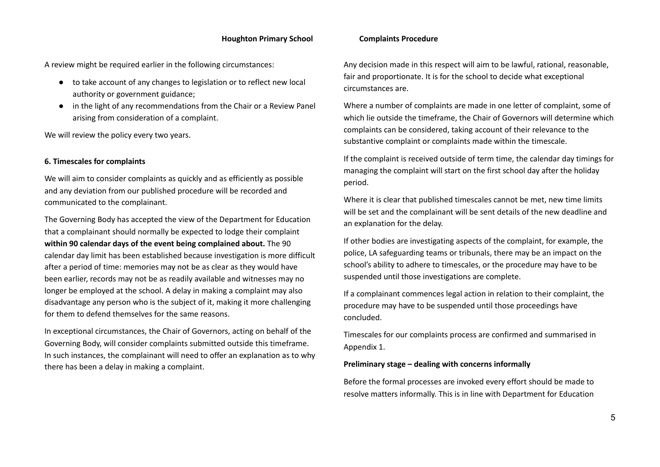A review might be required earlier in the following circumstances:

- to take account of any changes to legislation or to reflect new local authority or government guidance;
- in the light of any recommendations from the Chair or a Review Panel arising from consideration of a complaint.

We will review the policy every two years.

#### **6. Timescales for complaints**

We will aim to consider complaints as quickly and as efficiently as possible and any deviation from our published procedure will be recorded and communicated to the complainant.

The Governing Body has accepted the view of the Department for Education that a complainant should normally be expected to lodge their complaint **within 90 calendar days of the event being complained about.** The 90 calendar day limit has been established because investigation is more difficult after a period of time: memories may not be as clear as they would have been earlier, records may not be as readily available and witnesses may no longer be employed at the school. A delay in making a complaint may also disadvantage any person who is the subject of it, making it more challenging for them to defend themselves for the same reasons.

In exceptional circumstances, the Chair of Governors, acting on behalf of the Governing Body, will consider complaints submitted outside this timeframe. In such instances, the complainant will need to offer an explanation as to why there has been a delay in making a complaint.

Any decision made in this respect will aim to be lawful, rational, reasonable, fair and proportionate. It is for the school to decide what exceptional circumstances are.

Where a number of complaints are made in one letter of complaint, some of which lie outside the timeframe, the Chair of Governors will determine which complaints can be considered, taking account of their relevance to the substantive complaint or complaints made within the timescale.

If the complaint is received outside of term time, the calendar day timings for managing the complaint will start on the first school day after the holiday period.

Where it is clear that published timescales cannot be met, new time limits will be set and the complainant will be sent details of the new deadline and an explanation for the delay.

If other bodies are investigating aspects of the complaint, for example, the police, LA safeguarding teams or tribunals, there may be an impact on the school's ability to adhere to timescales, or the procedure may have to be suspended until those investigations are complete.

If a complainant commences legal action in relation to their complaint, the procedure may have to be suspended until those proceedings have concluded.

Timescales for our complaints process are confirmed and summarised in Appendix 1.

#### **Preliminary stage – dealing with concerns informally**

Before the formal processes are invoked every effort should be made to resolve matters informally. This is in line with Department for Education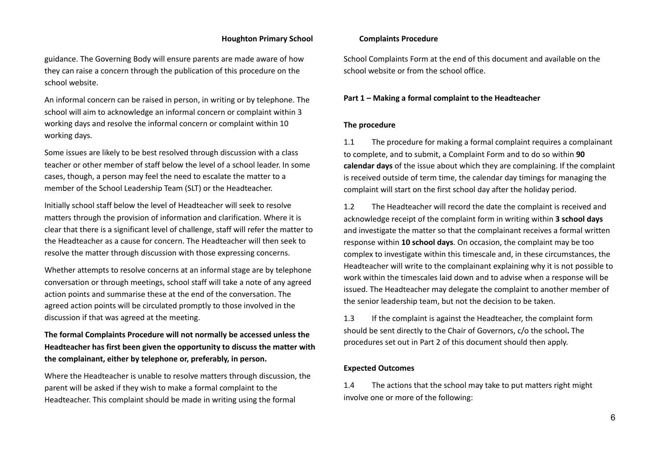guidance. The Governing Body will ensure parents are made aware of how they can raise a concern through the publication of this procedure on the school website.

An informal concern can be raised in person, in writing or by telephone. The school will aim to acknowledge an informal concern or complaint within 3 working days and resolve the informal concern or complaint within 10 working days.

Some issues are likely to be best resolved through discussion with a class teacher or other member of staff below the level of a school leader. In some cases, though, a person may feel the need to escalate the matter to a member of the School Leadership Team (SLT) or the Headteacher.

Initially school staff below the level of Headteacher will seek to resolve matters through the provision of information and clarification. Where it is clear that there is a significant level of challenge, staff will refer the matter to the Headteacher as a cause for concern. The Headteacher will then seek to resolve the matter through discussion with those expressing concerns.

Whether attempts to resolve concerns at an informal stage are by telephone conversation or through meetings, school staff will take a note of any agreed action points and summarise these at the end of the conversation. The agreed action points will be circulated promptly to those involved in the discussion if that was agreed at the meeting.

**The formal Complaints Procedure will not normally be accessed unless the Headteacher has first been given the opportunity to discuss the matter with the complainant, either by telephone or, preferably, in person.**

Where the Headteacher is unable to resolve matters through discussion, the parent will be asked if they wish to make a formal complaint to the Headteacher. This complaint should be made in writing using the formal

School Complaints Form at the end of this document and available on the school website or from the school office.

#### **Part 1 – Making a formal complaint to the Headteacher**

#### **The procedure**

1.1 The procedure for making a formal complaint requires a complainant to complete, and to submit, a Complaint Form and to do so within **90 calendar days** of the issue about which they are complaining. If the complaint is received outside of term time, the calendar day timings for managing the complaint will start on the first school day after the holiday period.

1.2 The Headteacher will record the date the complaint is received and acknowledge receipt of the complaint form in writing within **3 school days** and investigate the matter so that the complainant receives a formal written response within **10 school days**. On occasion, the complaint may be too complex to investigate within this timescale and, in these circumstances, the Headteacher will write to the complainant explaining why it is not possible to work within the timescales laid down and to advise when a response will be issued. The Headteacher may delegate the complaint to another member of the senior leadership team, but not the decision to be taken.

1.3 If the complaint is against the Headteacher, the complaint form should be sent directly to the Chair of Governors, c/o the school**.** The procedures set out in Part 2 of this document should then apply.

#### **Expected Outcomes**

1.4 The actions that the school may take to put matters right might involve one or more of the following: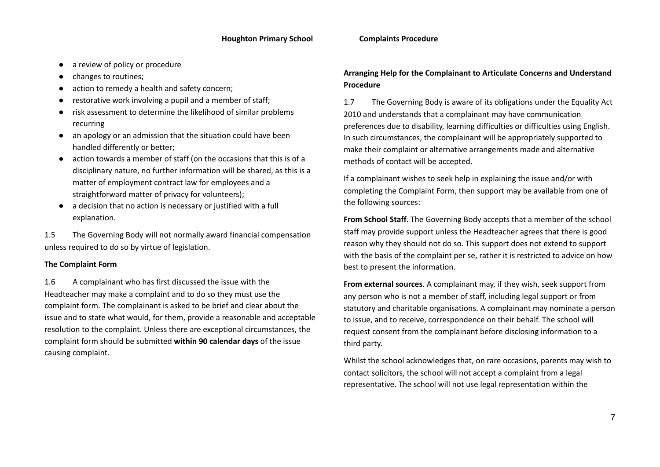- a review of policy or procedure
- changes to routines;
- action to remedy a health and safety concern:
- restorative work involving a pupil and a member of staff:
- risk assessment to determine the likelihood of similar problems recurring
- an apology or an admission that the situation could have been handled differently or better;
- action towards a member of staff (on the occasions that this is of a disciplinary nature, no further information will be shared, as this is a matter of employment contract law for employees and a straightforward matter of privacy for volunteers);
- a decision that no action is necessary or justified with a full explanation.

1.5 The Governing Body will not normally award financial compensation unless required to do so by virtue of legislation.

# **The Complaint Form**

1.6 A complainant who has first discussed the issue with the Headteacher may make a complaint and to do so they must use the complaint form. The complainant is asked to be brief and clear about the issue and to state what would, for them, provide a reasonable and acceptable resolution to the complaint. Unless there are exceptional circumstances, the complaint form should be submitted **within 90 calendar days** of the issue causing complaint.

# **Arranging Help for the Complainant to Articulate Concerns and Understand Procedure**

1.7 The Governing Body is aware of its obligations under the Equality Act 2010 and understands that a complainant may have communication preferences due to disability, learning difficulties or difficulties using English. In such circumstances, the complainant will be appropriately supported to make their complaint or alternative arrangements made and alternative methods of contact will be accepted.

If a complainant wishes to seek help in explaining the issue and/or with completing the Complaint Form, then support may be available from one of the following sources:

**From School Staff**. The Governing Body accepts that a member of the school staff may provide support unless the Headteacher agrees that there is good reason why they should not do so. This support does not extend to support with the basis of the complaint per se, rather it is restricted to advice on how best to present the information.

**From external sources**. A complainant may, if they wish, seek support from any person who is not a member of staff, including legal support or from statutory and charitable organisations. A complainant may nominate a person to issue, and to receive, correspondence on their behalf. The school will request consent from the complainant before disclosing information to a third party.

Whilst the school acknowledges that, on rare occasions, parents may wish to contact solicitors, the school will not accept a complaint from a legal representative. The school will not use legal representation within the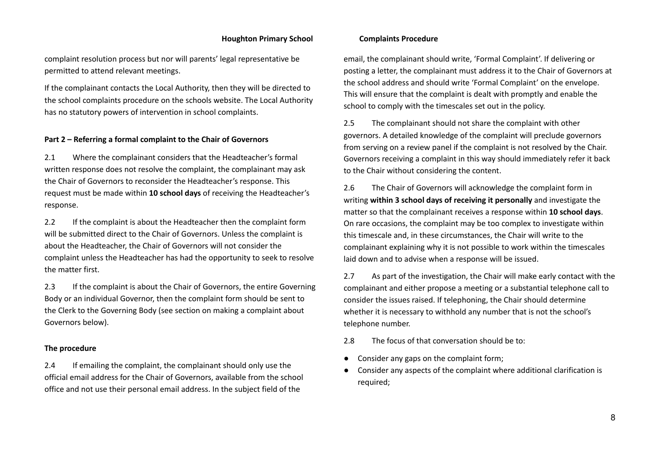complaint resolution process but nor will parents' legal representative be permitted to attend relevant meetings.

If the complainant contacts the Local Authority, then they will be directed to the school complaints procedure on the schools website. The Local Authority has no statutory powers of intervention in school complaints.

#### **Part 2 – Referring a formal complaint to the Chair of Governors**

2.1 Where the complainant considers that the Headteacher's formal written response does not resolve the complaint, the complainant may ask the Chair of Governors to reconsider the Headteacher's response. This request must be made within **10 school days** of receiving the Headteacher's response.

2.2 If the complaint is about the Headteacher then the complaint form will be submitted direct to the Chair of Governors. Unless the complaint is about the Headteacher, the Chair of Governors will not consider the complaint unless the Headteacher has had the opportunity to seek to resolve the matter first.

2.3 If the complaint is about the Chair of Governors, the entire Governing Body or an individual Governor, then the complaint form should be sent to the Clerk to the Governing Body (see section on making a complaint about Governors below).

### **The procedure**

2.4 If emailing the complaint, the complainant should only use the official email address for the Chair of Governors, available from the school office and not use their personal email address. In the subject field of the

email, the complainant should write, 'Formal Complaint'. If delivering or posting a letter, the complainant must address it to the Chair of Governors at the school address and should write 'Formal Complaint' on the envelope. This will ensure that the complaint is dealt with promptly and enable the school to comply with the timescales set out in the policy.

2.5 The complainant should not share the complaint with other governors. A detailed knowledge of the complaint will preclude governors from serving on a review panel if the complaint is not resolved by the Chair. Governors receiving a complaint in this way should immediately refer it back to the Chair without considering the content.

2.6 The Chair of Governors will acknowledge the complaint form in writing **within 3 school days of receiving it personally** and investigate the matter so that the complainant receives a response within **10 school days**. On rare occasions, the complaint may be too complex to investigate within this timescale and, in these circumstances, the Chair will write to the complainant explaining why it is not possible to work within the timescales laid down and to advise when a response will be issued.

2.7 As part of the investigation, the Chair will make early contact with the complainant and either propose a meeting or a substantial telephone call to consider the issues raised. If telephoning, the Chair should determine whether it is necessary to withhold any number that is not the school's telephone number.

2.8 The focus of that conversation should be to:

- Consider any gaps on the complaint form;
- Consider any aspects of the complaint where additional clarification is required;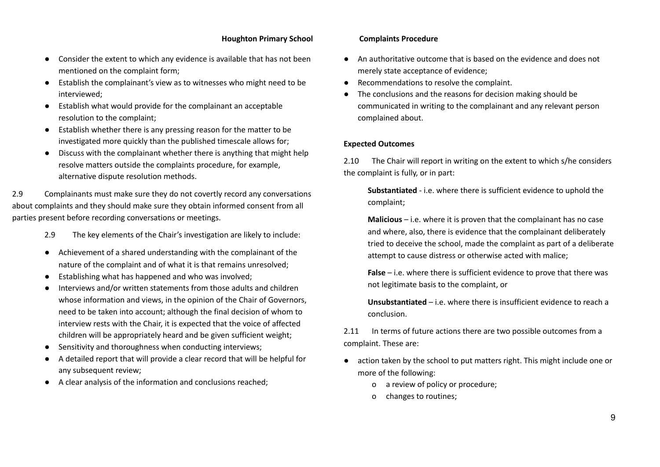- Consider the extent to which any evidence is available that has not been mentioned on the complaint form;
- Establish the complainant's view as to witnesses who might need to be interviewed;
- Establish what would provide for the complainant an acceptable resolution to the complaint;
- Establish whether there is any pressing reason for the matter to be investigated more quickly than the published timescale allows for;
- Discuss with the complainant whether there is anything that might help resolve matters outside the complaints procedure, for example, alternative dispute resolution methods.

2.9 Complainants must make sure they do not covertly record any conversations about complaints and they should make sure they obtain informed consent from all parties present before recording conversations or meetings.

- 2.9 The key elements of the Chair's investigation are likely to include:
- Achievement of a shared understanding with the complainant of the nature of the complaint and of what it is that remains unresolved;
- Establishing what has happened and who was involved;
- Interviews and/or written statements from those adults and children whose information and views, in the opinion of the Chair of Governors, need to be taken into account; although the final decision of whom to interview rests with the Chair, it is expected that the voice of affected children will be appropriately heard and be given sufficient weight;
- Sensitivity and thoroughness when conducting interviews;
- A detailed report that will provide a clear record that will be helpful for any subsequent review;
- A clear analysis of the information and conclusions reached;

- An authoritative outcome that is based on the evidence and does not merely state acceptance of evidence;
- Recommendations to resolve the complaint.
- The conclusions and the reasons for decision making should be communicated in writing to the complainant and any relevant person complained about.

### **Expected Outcomes**

2.10 The Chair will report in writing on the extent to which s/he considers the complaint is fully, or in part:

**Substantiated** - i.e. where there is sufficient evidence to uphold the complaint;

**Malicious** – i.e. where it is proven that the complainant has no case and where, also, there is evidence that the complainant deliberately tried to deceive the school, made the complaint as part of a deliberate attempt to cause distress or otherwise acted with malice;

**False** – i.e. where there is sufficient evidence to prove that there was not legitimate basis to the complaint, or

**Unsubstantiated** – i.e. where there is insufficient evidence to reach a conclusion.

2.11 In terms of future actions there are two possible outcomes from a complaint. These are:

- action taken by the school to put matters right. This might include one or more of the following:
	- o a review of policy or procedure;
	- o changes to routines;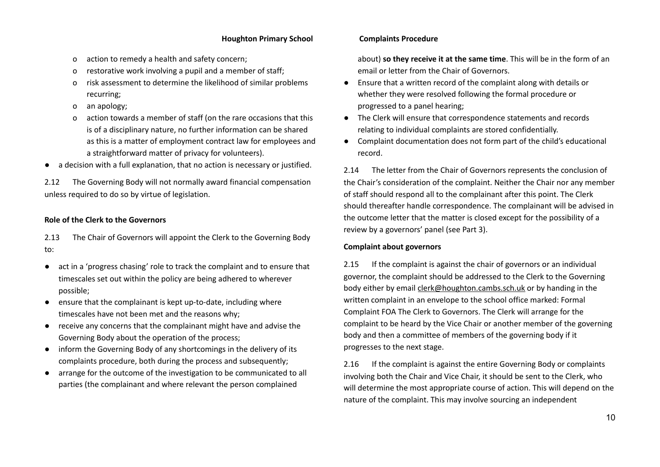- o action to remedy a health and safety concern;
- o restorative work involving a pupil and a member of staff;
- o risk assessment to determine the likelihood of similar problems recurring;
- o an apology;
- action towards a member of staff (on the rare occasions that this is of a disciplinary nature, no further information can be shared as this is a matter of employment contract law for employees and a straightforward matter of privacy for volunteers).
- a decision with a full explanation, that no action is necessary or justified.

2.12 The Governing Body will not normally award financial compensation unless required to do so by virtue of legislation.

# **Role of the Clerk to the Governors**

2.13 The Chair of Governors will appoint the Clerk to the Governing Body to:

- act in a 'progress chasing' role to track the complaint and to ensure that timescales set out within the policy are being adhered to wherever possible;
- ensure that the complainant is kept up-to-date, including where timescales have not been met and the reasons why;
- receive any concerns that the complainant might have and advise the Governing Body about the operation of the process;
- inform the Governing Body of any shortcomings in the delivery of its complaints procedure, both during the process and subsequently;
- arrange for the outcome of the investigation to be communicated to all parties (the complainant and where relevant the person complained

about) **so they receive it at the same time**. This will be in the form of an email or letter from the Chair of Governors.

- Ensure that a written record of the complaint along with details or whether they were resolved following the formal procedure or progressed to a panel hearing;
- The Clerk will ensure that correspondence statements and records relating to individual complaints are stored confidentially.
- Complaint documentation does not form part of the child's educational record.

2.14 The letter from the Chair of Governors represents the conclusion of the Chair's consideration of the complaint. Neither the Chair nor any member of staff should respond all to the complainant after this point. The Clerk should thereafter handle correspondence. The complainant will be advised in the outcome letter that the matter is closed except for the possibility of a review by a governors' panel (see Part 3).

### **Complaint about governors**

2.15 If the complaint is against the chair of governors or an individual governor, the complaint should be addressed to the Clerk to the Governing body either by email [clerk@houghton.cambs.sch.uk](mailto:clerk@houghton.cambs.sch.uk) or by handing in the written complaint in an envelope to the school office marked: Formal Complaint FOA The Clerk to Governors. The Clerk will arrange for the complaint to be heard by the Vice Chair or another member of the governing body and then a committee of members of the governing body if it progresses to the next stage.

2.16 If the complaint is against the entire Governing Body or complaints involving both the Chair and Vice Chair, it should be sent to the Clerk, who will determine the most appropriate course of action. This will depend on the nature of the complaint. This may involve sourcing an independent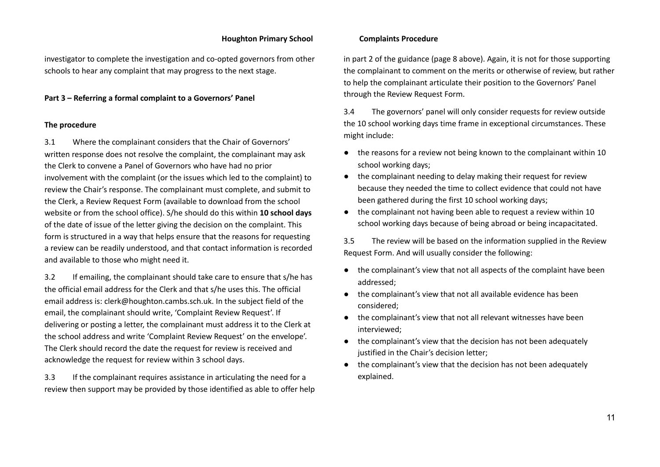investigator to complete the investigation and co-opted governors from other schools to hear any complaint that may progress to the next stage.

**Part 3 – Referring a formal complaint to a Governors' Panel**

#### **The procedure**

3.1 Where the complainant considers that the Chair of Governors' written response does not resolve the complaint, the complainant may ask the Clerk to convene a Panel of Governors who have had no prior involvement with the complaint (or the issues which led to the complaint) to review the Chair's response. The complainant must complete, and submit to the Clerk, a Review Request Form (available to download from the school website or from the school office). S/he should do this within **10 school days** of the date of issue of the letter giving the decision on the complaint. This form is structured in a way that helps ensure that the reasons for requesting a review can be readily understood, and that contact information is recorded and available to those who might need it.

3.2 If emailing, the complainant should take care to ensure that s/he has the official email address for the Clerk and that s/he uses this. The official email address is: clerk@houghton.cambs.sch.uk. In the subject field of the email, the complainant should write, 'Complaint Review Request'. If delivering or posting a letter, the complainant must address it to the Clerk at the school address and write 'Complaint Review Request' on the envelope'. The Clerk should record the date the request for review is received and acknowledge the request for review within 3 school days.

3.3 If the complainant requires assistance in articulating the need for a review then support may be provided by those identified as able to offer help

in part 2 of the guidance (page 8 above). Again, it is not for those supporting the complainant to comment on the merits or otherwise of review, but rather to help the complainant articulate their position to the Governors' Panel through the Review Request Form.

3.4 The governors' panel will only consider requests for review outside the 10 school working days time frame in exceptional circumstances. These might include:

- the reasons for a review not being known to the complainant within 10 school working days;
- the complainant needing to delay making their request for review because they needed the time to collect evidence that could not have been gathered during the first 10 school working days;
- the complainant not having been able to request a review within 10 school working days because of being abroad or being incapacitated.

3.5 The review will be based on the information supplied in the Review Request Form. And will usually consider the following:

- the complainant's view that not all aspects of the complaint have been addressed;
- the complainant's view that not all available evidence has been considered;
- the complainant's view that not all relevant witnesses have been interviewed;
- the complainant's view that the decision has not been adequately justified in the Chair's decision letter;
- the complainant's view that the decision has not been adequately explained.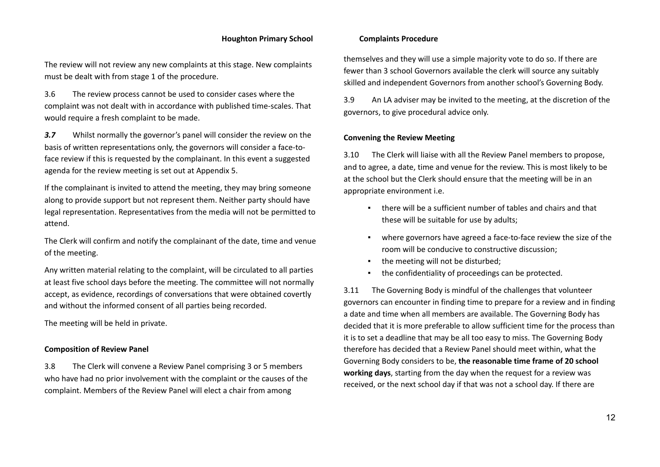The review will not review any new complaints at this stage. New complaints must be dealt with from stage 1 of the procedure.

3.6 The review process cannot be used to consider cases where the complaint was not dealt with in accordance with published time-scales. That would require a fresh complaint to be made.

*3.7* Whilst normally the governor's panel will consider the review on the basis of written representations only, the governors will consider a face-toface review if this is requested by the complainant. In this event a suggested agenda for the review meeting is set out at Appendix 5.

If the complainant is invited to attend the meeting, they may bring someone along to provide support but not represent them. Neither party should have legal representation. Representatives from the media will not be permitted to attend.

The Clerk will confirm and notify the complainant of the date, time and venue of the meeting.

Any written material relating to the complaint, will be circulated to all parties at least five school days before the meeting. The committee will not normally accept, as evidence, recordings of conversations that were obtained covertly and without the informed consent of all parties being recorded.

The meeting will be held in private.

### **Composition of Review Panel**

3.8 The Clerk will convene a Review Panel comprising 3 or 5 members who have had no prior involvement with the complaint or the causes of the complaint. Members of the Review Panel will elect a chair from among

themselves and they will use a simple majority vote to do so. If there are fewer than 3 school Governors available the clerk will source any suitably skilled and independent Governors from another school's Governing Body.

3.9 An LA adviser may be invited to the meeting, at the discretion of the governors, to give procedural advice only.

#### **Convening the Review Meeting**

3.10 The Clerk will liaise with all the Review Panel members to propose, and to agree, a date, time and venue for the review. This is most likely to be at the school but the Clerk should ensure that the meeting will be in an appropriate environment i.e.

- there will be a sufficient number of tables and chairs and that these will be suitable for use by adults;
- where governors have agreed a face-to-face review the size of the room will be conducive to constructive discussion;
- the meeting will not be disturbed;
- the confidentiality of proceedings can be protected.

3.11 The Governing Body is mindful of the challenges that volunteer governors can encounter in finding time to prepare for a review and in finding a date and time when all members are available. The Governing Body has decided that it is more preferable to allow sufficient time for the process than it is to set a deadline that may be all too easy to miss. The Governing Body therefore has decided that a Review Panel should meet within, what the Governing Body considers to be, **the reasonable time frame of 20 school working days**, starting from the day when the request for a review was received, or the next school day if that was not a school day. If there are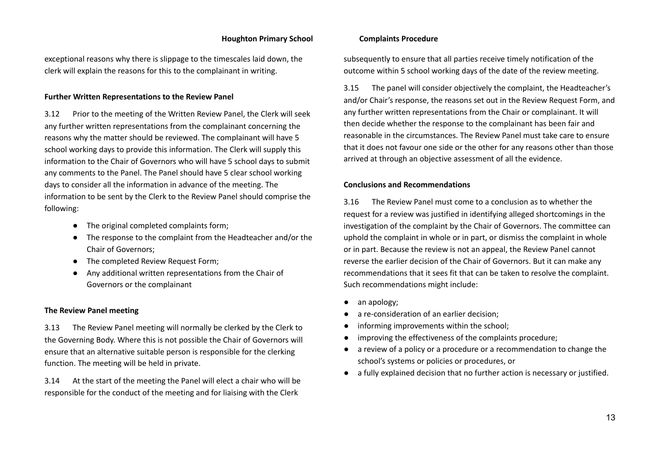exceptional reasons why there is slippage to the timescales laid down, the clerk will explain the reasons for this to the complainant in writing.

#### **Further Written Representations to the Review Panel**

3.12 Prior to the meeting of the Written Review Panel, the Clerk will seek any further written representations from the complainant concerning the reasons why the matter should be reviewed. The complainant will have 5 school working days to provide this information. The Clerk will supply this information to the Chair of Governors who will have 5 school days to submit any comments to the Panel. The Panel should have 5 clear school working days to consider all the information in advance of the meeting. The information to be sent by the Clerk to the Review Panel should comprise the following:

- The original completed complaints form;
- The response to the complaint from the Headteacher and/or the Chair of Governors;
- The completed Review Request Form;
- Any additional written representations from the Chair of Governors or the complainant

#### **The Review Panel meeting**

3.13 The Review Panel meeting will normally be clerked by the Clerk to the Governing Body. Where this is not possible the Chair of Governors will ensure that an alternative suitable person is responsible for the clerking function. The meeting will be held in private.

3.14 At the start of the meeting the Panel will elect a chair who will be responsible for the conduct of the meeting and for liaising with the Clerk

subsequently to ensure that all parties receive timely notification of the outcome within 5 school working days of the date of the review meeting.

3.15 The panel will consider objectively the complaint, the Headteacher's and/or Chair's response, the reasons set out in the Review Request Form, and any further written representations from the Chair or complainant. It will then decide whether the response to the complainant has been fair and reasonable in the circumstances. The Review Panel must take care to ensure that it does not favour one side or the other for any reasons other than those arrived at through an objective assessment of all the evidence.

#### **Conclusions and Recommendations**

3.16 The Review Panel must come to a conclusion as to whether the request for a review was justified in identifying alleged shortcomings in the investigation of the complaint by the Chair of Governors. The committee can uphold the complaint in whole or in part, or dismiss the complaint in whole or in part. Because the review is not an appeal, the Review Panel cannot reverse the earlier decision of the Chair of Governors. But it can make any recommendations that it sees fit that can be taken to resolve the complaint. Such recommendations might include:

- an apology;
- a re-consideration of an earlier decision;
- informing improvements within the school;
- improving the effectiveness of the complaints procedure;
- a review of a policy or a procedure or a recommendation to change the school's systems or policies or procedures, or
- a fully explained decision that no further action is necessary or justified.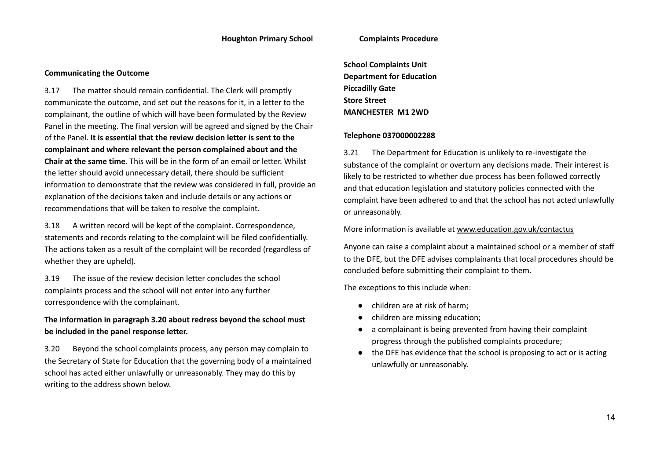#### **Communicating the Outcome**

3.17 The matter should remain confidential. The Clerk will promptly communicate the outcome, and set out the reasons for it, in a letter to the complainant, the outline of which will have been formulated by the Review Panel in the meeting. The final version will be agreed and signed by the Chair of the Panel. **It is essential that the review decision letter is sent to the complainant and where relevant the person complained about and the Chair at the same time**. This will be in the form of an email or letter. Whilst the letter should avoid unnecessary detail, there should be sufficient information to demonstrate that the review was considered in full, provide an explanation of the decisions taken and include details or any actions or recommendations that will be taken to resolve the complaint.

3.18 A written record will be kept of the complaint. Correspondence, statements and records relating to the complaint will be filed confidentially. The actions taken as a result of the complaint will be recorded (regardless of whether they are upheld).

3.19 The issue of the review decision letter concludes the school complaints process and the school will not enter into any further correspondence with the complainant.

# **The information in paragraph 3.20 about redress beyond the school must be included in the panel response letter.**

3.20 Beyond the school complaints process, any person may complain to the Secretary of State for Education that the governing body of a maintained school has acted either unlawfully or unreasonably. They may do this by writing to the address shown below.

**School Complaints Unit Department for Education Piccadilly Gate Store Street MANCHESTER M1 2WD**

#### **Telephone 037000002288**

3.21 The Department for Education is unlikely to re-investigate the substance of the complaint or overturn any decisions made. Their interest is likely to be restricted to whether due process has been followed correctly and that education legislation and statutory policies connected with the complaint have been adhered to and that the school has not acted unlawfully or unreasonably.

More information is available at [www.education.gov.uk/contactus](http://www.education.gov.uk/contactus)

Anyone can raise a complaint about a maintained school or a member of staff to the DFE, but the DFE advises complainants that local procedures should be concluded before submitting their complaint to them.

The exceptions to this include when:

- children are at risk of harm;
- children are missing education;
- a complainant is being prevented from having their complaint progress through the published complaints procedure;
- the DFE has evidence that the school is proposing to act or is acting unlawfully or unreasonably.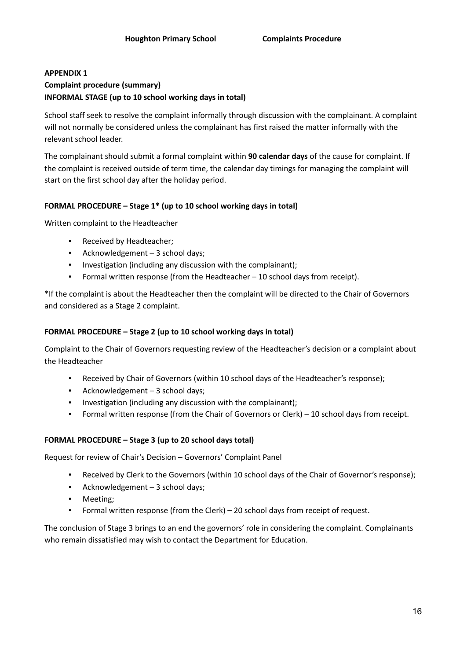# **APPENDIX 1 Complaint procedure (summary) INFORMAL STAGE (up to 10 school working days in total)**

School staff seek to resolve the complaint informally through discussion with the complainant. A complaint will not normally be considered unless the complainant has first raised the matter informally with the relevant school leader.

The complainant should submit a formal complaint within **90 calendar days** of the cause for complaint. If the complaint is received outside of term time, the calendar day timings for managing the complaint will start on the first school day after the holiday period.

# **FORMAL PROCEDURE – Stage 1\* (up to 10 school working days in total)**

Written complaint to the Headteacher

- Received by Headteacher;
- Acknowledgement 3 school days;
- Investigation (including any discussion with the complainant);
- Formal written response (from the Headteacher  $-10$  school days from receipt).

\*If the complaint is about the Headteacher then the complaint will be directed to the Chair of Governors and considered as a Stage 2 complaint.

# **FORMAL PROCEDURE – Stage 2 (up to 10 school working days in total)**

Complaint to the Chair of Governors requesting review of the Headteacher's decision or a complaint about the Headteacher

- Received by Chair of Governors (within 10 school days of the Headteacher's response);
- Acknowledgement 3 school days;
- Investigation (including any discussion with the complainant);
- Formal written response (from the Chair of Governors or Clerk) 10 school days from receipt.

# **FORMAL PROCEDURE – Stage 3 (up to 20 school days total)**

Request for review of Chair's Decision – Governors' Complaint Panel

- Received by Clerk to the Governors (within 10 school days of the Chair of Governor's response);
- Acknowledgement 3 school days;
- Meeting;
- Formal written response (from the Clerk)  $-$  20 school days from receipt of request.

The conclusion of Stage 3 brings to an end the governors' role in considering the complaint. Complainants who remain dissatisfied may wish to contact the Department for Education.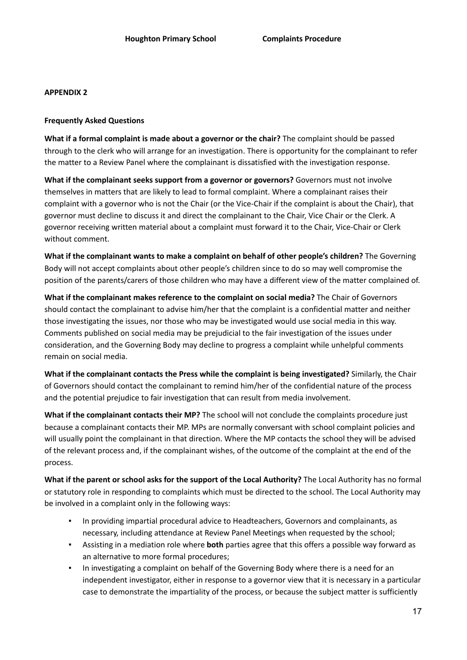### **Frequently Asked Questions**

**What if a formal complaint is made about a governor or the chair?** The complaint should be passed through to the clerk who will arrange for an investigation. There is opportunity for the complainant to refer the matter to a Review Panel where the complainant is dissatisfied with the investigation response.

**What if the complainant seeks support from a governor or governors?** Governors must not involve themselves in matters that are likely to lead to formal complaint. Where a complainant raises their complaint with a governor who is not the Chair (or the Vice-Chair if the complaint is about the Chair), that governor must decline to discuss it and direct the complainant to the Chair, Vice Chair or the Clerk. A governor receiving written material about a complaint must forward it to the Chair, Vice-Chair or Clerk without comment.

**What if the complainant wants to make a complaint on behalf of other people's children?** The Governing Body will not accept complaints about other people's children since to do so may well compromise the position of the parents/carers of those children who may have a different view of the matter complained of.

**What if the complainant makes reference to the complaint on social media?** The Chair of Governors should contact the complainant to advise him/her that the complaint is a confidential matter and neither those investigating the issues, nor those who may be investigated would use social media in this way. Comments published on social media may be prejudicial to the fair investigation of the issues under consideration, and the Governing Body may decline to progress a complaint while unhelpful comments remain on social media.

**What if the complainant contacts the Press while the complaint is being investigated?** Similarly, the Chair of Governors should contact the complainant to remind him/her of the confidential nature of the process and the potential prejudice to fair investigation that can result from media involvement.

**What if the complainant contacts their MP?** The school will not conclude the complaints procedure just because a complainant contacts their MP. MPs are normally conversant with school complaint policies and will usually point the complainant in that direction. Where the MP contacts the school they will be advised of the relevant process and, if the complainant wishes, of the outcome of the complaint at the end of the process.

**What if the parent or school asks for the support of the Local Authority?** The Local Authority has no formal or statutory role in responding to complaints which must be directed to the school. The Local Authority may be involved in a complaint only in the following ways:

- In providing impartial procedural advice to Headteachers, Governors and complainants, as necessary, including attendance at Review Panel Meetings when requested by the school;
- Assisting in a mediation role where **both** parties agree that this offers a possible way forward as an alternative to more formal procedures;
- In investigating a complaint on behalf of the Governing Body where there is a need for an independent investigator, either in response to a governor view that it is necessary in a particular case to demonstrate the impartiality of the process, or because the subject matter is sufficiently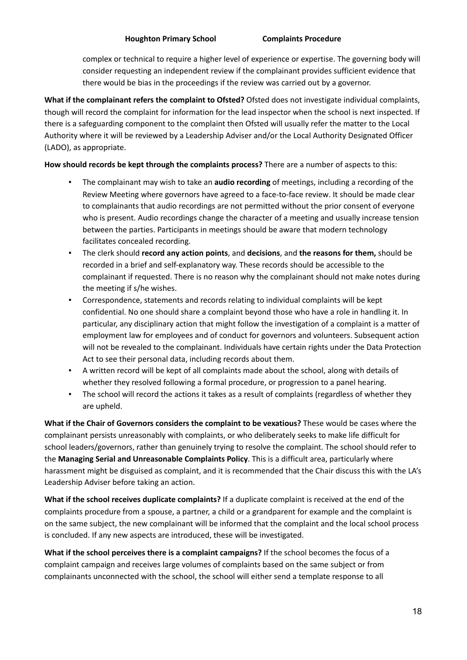complex or technical to require a higher level of experience or expertise. The governing body will consider requesting an independent review if the complainant provides sufficient evidence that there would be bias in the proceedings if the review was carried out by a governor.

**What if the complainant refers the complaint to Ofsted?** Ofsted does not investigate individual complaints, though will record the complaint for information for the lead inspector when the school is next inspected. If there is a safeguarding component to the complaint then Ofsted will usually refer the matter to the Local Authority where it will be reviewed by a Leadership Adviser and/or the Local Authority Designated Officer (LADO), as appropriate.

# **How should records be kept through the complaints process?** There are a number of aspects to this:

- The complainant may wish to take an **audio recording** of meetings, including a recording of the Review Meeting where governors have agreed to a face-to-face review. It should be made clear to complainants that audio recordings are not permitted without the prior consent of everyone who is present. Audio recordings change the character of a meeting and usually increase tension between the parties. Participants in meetings should be aware that modern technology facilitates concealed recording.
- The clerk should **record any action points**, and **decisions**, and **the reasons for them,** should be recorded in a brief and self-explanatory way. These records should be accessible to the complainant if requested. There is no reason why the complainant should not make notes during the meeting if s/he wishes.
- Correspondence, statements and records relating to individual complaints will be kept confidential. No one should share a complaint beyond those who have a role in handling it. In particular, any disciplinary action that might follow the investigation of a complaint is a matter of employment law for employees and of conduct for governors and volunteers. Subsequent action will not be revealed to the complainant. Individuals have certain rights under the Data Protection Act to see their personal data, including records about them.
- A written record will be kept of all complaints made about the school, along with details of whether they resolved following a formal procedure, or progression to a panel hearing.
- **•** The school will record the actions it takes as a result of complaints (regardless of whether they are upheld.

**What if the Chair of Governors considers the complaint to be vexatious?** These would be cases where the complainant persists unreasonably with complaints, or who deliberately seeks to make life difficult for school leaders/governors, rather than genuinely trying to resolve the complaint. The school should refer to the **Managing Serial and Unreasonable Complaints Policy**. This is a difficult area, particularly where harassment might be disguised as complaint, and it is recommended that the Chair discuss this with the LA's Leadership Adviser before taking an action.

**What if the school receives duplicate complaints?** If a duplicate complaint is received at the end of the complaints procedure from a spouse, a partner, a child or a grandparent for example and the complaint is on the same subject, the new complainant will be informed that the complaint and the local school process is concluded. If any new aspects are introduced, these will be investigated.

**What if the school perceives there is a complaint campaigns?** If the school becomes the focus of a complaint campaign and receives large volumes of complaints based on the same subject or from complainants unconnected with the school, the school will either send a template response to all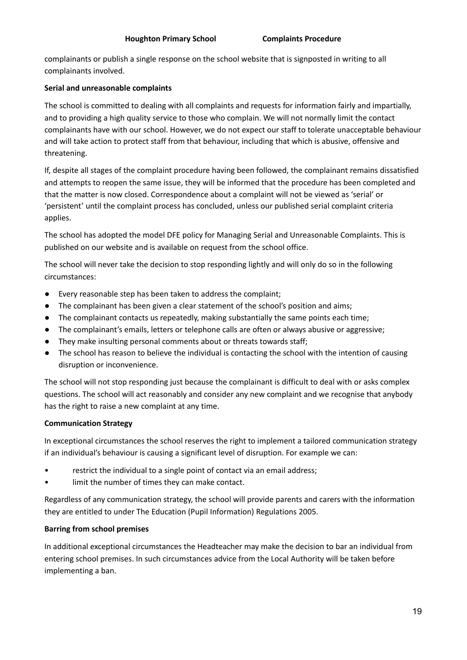complainants or publish a single response on the school website that is signposted in writing to all complainants involved.

# **Serial and unreasonable complaints**

The school is committed to dealing with all complaints and requests for information fairly and impartially, and to providing a high quality service to those who complain. We will not normally limit the contact complainants have with our school. However, we do not expect our staff to tolerate unacceptable behaviour and will take action to protect staff from that behaviour, including that which is abusive, offensive and threatening.

If, despite all stages of the complaint procedure having been followed, the complainant remains dissatisfied and attempts to reopen the same issue, they will be informed that the procedure has been completed and that the matter is now closed. Correspondence about a complaint will not be viewed as 'serial' or 'persistent' until the complaint process has concluded, unless our published serial complaint criteria applies.

The school has adopted the model DFE policy for Managing Serial and Unreasonable Complaints. This is published on our website and is available on request from the school office.

The school will never take the decision to stop responding lightly and will only do so in the following circumstances:

- Every reasonable step has been taken to address the complaint;
- The complainant has been given a clear statement of the school's position and aims;
- The complainant contacts us repeatedly, making substantially the same points each time;
- The complainant's emails, letters or telephone calls are often or always abusive or aggressive;
- They make insulting personal comments about or threats towards staff;
- The school has reason to believe the individual is contacting the school with the intention of causing disruption or inconvenience.

The school will not stop responding just because the complainant is difficult to deal with or asks complex questions. The school will act reasonably and consider any new complaint and we recognise that anybody has the right to raise a new complaint at any time.

# **Communication Strategy**

In exceptional circumstances the school reserves the right to implement a tailored communication strategy if an individual's behaviour is causing a significant level of disruption. For example we can:

- restrict the individual to a single point of contact via an email address;
- limit the number of times they can make contact.

Regardless of any communication strategy, the school will provide parents and carers with the information they are entitled to under The Education (Pupil Information) Regulations 2005.

# **Barring from school premises**

In additional exceptional circumstances the Headteacher may make the decision to bar an individual from entering school premises. In such circumstances advice from the Local Authority will be taken before implementing a ban.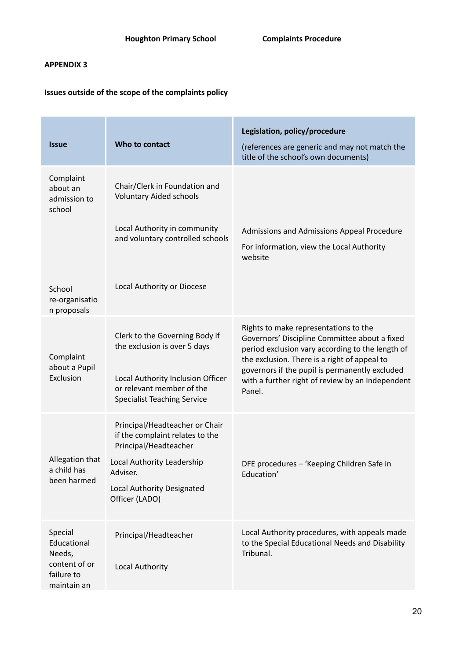# **Issues outside of the scope of the complaints policy**

| <b>Issue</b>                                                                   | Who to contact                                                                                                                                                                       | Legislation, policy/procedure<br>(references are generic and may not match the<br>title of the school's own documents)                                                                                                                                                                                     |
|--------------------------------------------------------------------------------|--------------------------------------------------------------------------------------------------------------------------------------------------------------------------------------|------------------------------------------------------------------------------------------------------------------------------------------------------------------------------------------------------------------------------------------------------------------------------------------------------------|
| Complaint<br>about an<br>admission to<br>school                                | Chair/Clerk in Foundation and<br><b>Voluntary Aided schools</b><br>Local Authority in community<br>and voluntary controlled schools                                                  | Admissions and Admissions Appeal Procedure<br>For information, view the Local Authority<br>website                                                                                                                                                                                                         |
| School<br>re-organisatio<br>n proposals                                        | Local Authority or Diocese                                                                                                                                                           |                                                                                                                                                                                                                                                                                                            |
| Complaint<br>about a Pupil<br>Exclusion                                        | Clerk to the Governing Body if<br>the exclusion is over 5 days<br>Local Authority Inclusion Officer<br>or relevant member of the<br><b>Specialist Teaching Service</b>               | Rights to make representations to the<br>Governors' Discipline Committee about a fixed<br>period exclusion vary according to the length of<br>the exclusion. There is a right of appeal to<br>governors if the pupil is permanently excluded<br>with a further right of review by an Independent<br>Panel. |
| Allegation that<br>a child has<br>been harmed                                  | Principal/Headteacher or Chair<br>if the complaint relates to the<br>Principal/Headteacher<br>Local Authority Leadership<br>Adviser.<br>Local Authority Designated<br>Officer (LADO) | DFE procedures - 'Keeping Children Safe in<br>Education'                                                                                                                                                                                                                                                   |
| Special<br>Educational<br>Needs,<br>content of or<br>failure to<br>maintain an | Principal/Headteacher<br>Local Authority                                                                                                                                             | Local Authority procedures, with appeals made<br>to the Special Educational Needs and Disability<br>Tribunal.                                                                                                                                                                                              |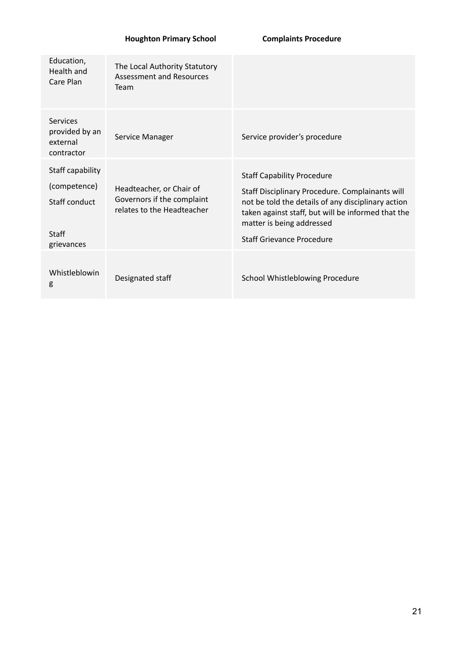| Education,<br>Health and<br>Care Plan                                    | The Local Authority Statutory<br><b>Assessment and Resources</b><br>Team             |                                                                                                                                                                                                                                                            |
|--------------------------------------------------------------------------|--------------------------------------------------------------------------------------|------------------------------------------------------------------------------------------------------------------------------------------------------------------------------------------------------------------------------------------------------------|
| Services<br>provided by an<br>external<br>contractor                     | Service Manager                                                                      | Service provider's procedure                                                                                                                                                                                                                               |
| Staff capability<br>(competence)<br>Staff conduct<br>Staff<br>grievances | Headteacher, or Chair of<br>Governors if the complaint<br>relates to the Headteacher | <b>Staff Capability Procedure</b><br>Staff Disciplinary Procedure. Complainants will<br>not be told the details of any disciplinary action<br>taken against staff, but will be informed that the<br>matter is being addressed<br>Staff Grievance Procedure |
| Whistleblowin<br>g                                                       | Designated staff                                                                     | School Whistleblowing Procedure                                                                                                                                                                                                                            |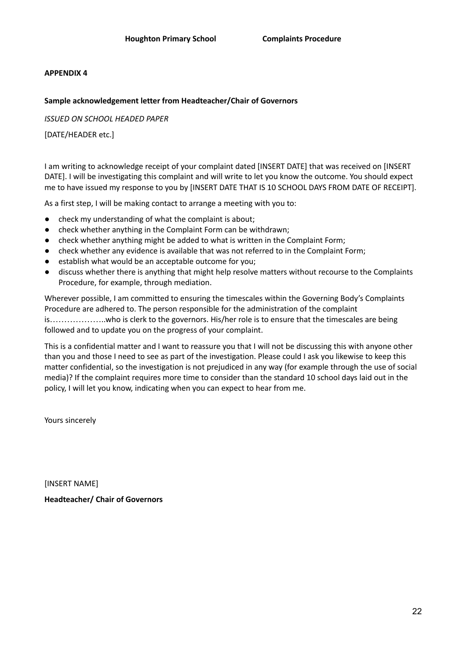### **Sample acknowledgement letter from Headteacher/Chair of Governors**

*ISSUED ON SCHOOL HEADED PAPER*

[DATE/HEADER etc.]

I am writing to acknowledge receipt of your complaint dated [INSERT DATE] that was received on [INSERT DATE]. I will be investigating this complaint and will write to let you know the outcome. You should expect me to have issued my response to you by [INSERT DATE THAT IS 10 SCHOOL DAYS FROM DATE OF RECEIPT].

As a first step, I will be making contact to arrange a meeting with you to:

- check my understanding of what the complaint is about;
- check whether anything in the Complaint Form can be withdrawn;
- check whether anything might be added to what is written in the Complaint Form;
- check whether any evidence is available that was not referred to in the Complaint Form;
- establish what would be an acceptable outcome for you;
- discuss whether there is anything that might help resolve matters without recourse to the Complaints Procedure, for example, through mediation.

Wherever possible, I am committed to ensuring the timescales within the Governing Body's Complaints Procedure are adhered to. The person responsible for the administration of the complaint is………………..who is clerk to the governors. His/her role is to ensure that the timescales are being followed and to update you on the progress of your complaint.

This is a confidential matter and I want to reassure you that I will not be discussing this with anyone other than you and those I need to see as part of the investigation. Please could I ask you likewise to keep this matter confidential, so the investigation is not prejudiced in any way (for example through the use of social media)? If the complaint requires more time to consider than the standard 10 school days laid out in the policy, I will let you know, indicating when you can expect to hear from me.

Yours sincerely

[INSERT NAME] **Headteacher/ Chair of Governors**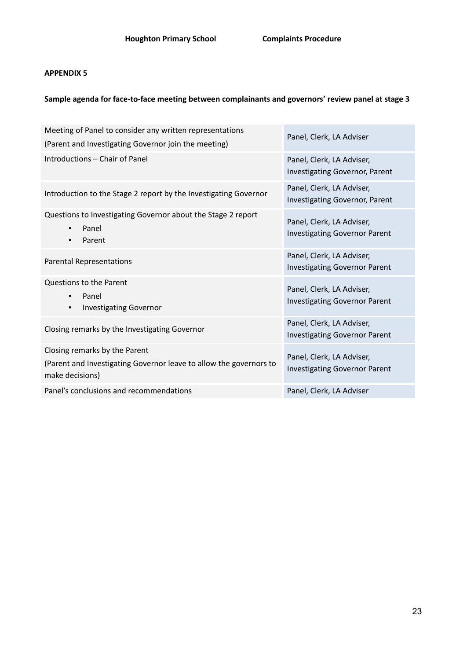# **Sample agenda for face-to-face meeting between complainants and governors' review panel at stage 3**

| Meeting of Panel to consider any written representations<br>(Parent and Investigating Governor join the meeting)       | Panel, Clerk, LA Adviser                                           |
|------------------------------------------------------------------------------------------------------------------------|--------------------------------------------------------------------|
| Introductions - Chair of Panel                                                                                         | Panel, Clerk, LA Adviser,<br><b>Investigating Governor, Parent</b> |
| Introduction to the Stage 2 report by the Investigating Governor                                                       | Panel, Clerk, LA Adviser,<br><b>Investigating Governor, Parent</b> |
| Questions to Investigating Governor about the Stage 2 report<br>Panel<br>$\blacksquare$<br>Parent<br>٠                 | Panel, Clerk, LA Adviser,<br><b>Investigating Governor Parent</b>  |
| <b>Parental Representations</b>                                                                                        | Panel, Clerk, LA Adviser,<br><b>Investigating Governor Parent</b>  |
| Questions to the Parent<br>Panel<br>$\blacksquare$<br><b>Investigating Governor</b><br>٠                               | Panel, Clerk, LA Adviser,<br><b>Investigating Governor Parent</b>  |
| Closing remarks by the Investigating Governor                                                                          | Panel, Clerk, LA Adviser,<br><b>Investigating Governor Parent</b>  |
| Closing remarks by the Parent<br>(Parent and Investigating Governor leave to allow the governors to<br>make decisions) | Panel, Clerk, LA Adviser,<br><b>Investigating Governor Parent</b>  |
| Panel's conclusions and recommendations                                                                                | Panel, Clerk, LA Adviser                                           |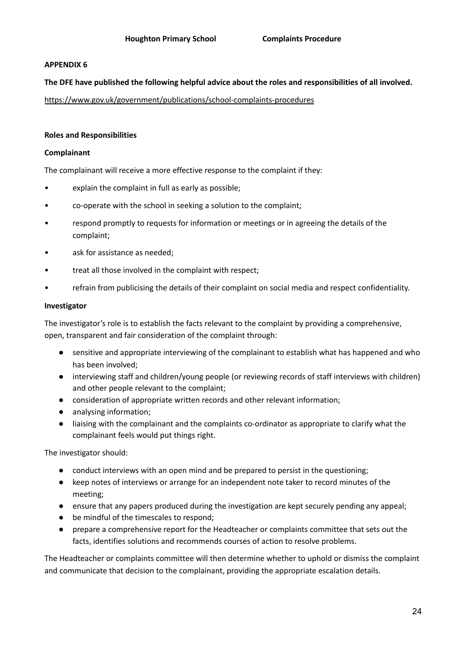### **The DFE have published the following helpful advice about the roles and responsibilities of all involved.**

<https://www.gov.uk/government/publications/school-complaints-procedures>

### **Roles and Responsibilities**

### **Complainant**

The complainant will receive a more effective response to the complaint if they:

- explain the complaint in full as early as possible;
- co-operate with the school in seeking a solution to the complaint;
- respond promptly to requests for information or meetings or in agreeing the details of the complaint;
- ask for assistance as needed;
- treat all those involved in the complaint with respect;
- refrain from publicising the details of their complaint on social media and respect confidentiality.

### **Investigator**

The investigator's role is to establish the facts relevant to the complaint by providing a comprehensive, open, transparent and fair consideration of the complaint through:

- sensitive and appropriate interviewing of the complainant to establish what has happened and who has been involved;
- interviewing staff and children/young people (or reviewing records of staff interviews with children) and other people relevant to the complaint;
- consideration of appropriate written records and other relevant information;
- analysing information;
- liaising with the complainant and the complaints co-ordinator as appropriate to clarify what the complainant feels would put things right.

The investigator should:

- conduct interviews with an open mind and be prepared to persist in the questioning;
- keep notes of interviews or arrange for an independent note taker to record minutes of the meeting;
- ensure that any papers produced during the investigation are kept securely pending any appeal;
- be mindful of the timescales to respond;
- prepare a comprehensive report for the Headteacher or complaints committee that sets out the facts, identifies solutions and recommends courses of action to resolve problems.

The Headteacher or complaints committee will then determine whether to uphold or dismiss the complaint and communicate that decision to the complainant, providing the appropriate escalation details.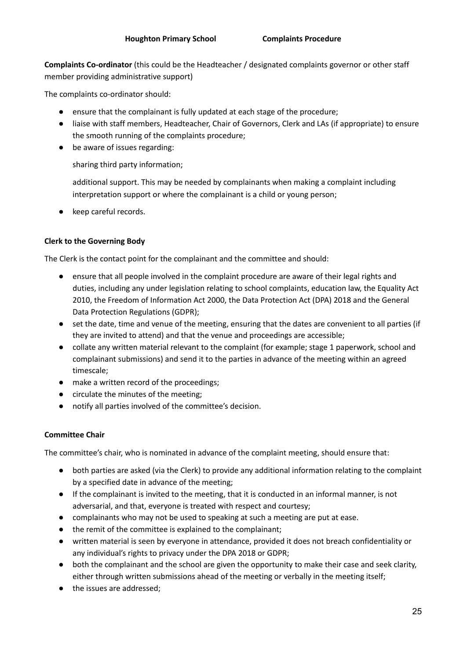**Complaints Co-ordinator** (this could be the Headteacher / designated complaints governor or other staff member providing administrative support)

The complaints co-ordinator should:

- ensure that the complainant is fully updated at each stage of the procedure;
- liaise with staff members, Headteacher, Chair of Governors, Clerk and LAs (if appropriate) to ensure the smooth running of the complaints procedure;
- be aware of issues regarding:

sharing third party information;

additional support. This may be needed by complainants when making a complaint including interpretation support or where the complainant is a child or young person;

keep careful records.

# **Clerk to the Governing Body**

The Clerk is the contact point for the complainant and the committee and should:

- ensure that all people involved in the complaint procedure are aware of their legal rights and duties, including any under legislation relating to school complaints, education law, the Equality Act 2010, the Freedom of Information Act 2000, the Data Protection Act (DPA) 2018 and the General Data Protection Regulations (GDPR);
- set the date, time and venue of the meeting, ensuring that the dates are convenient to all parties (if they are invited to attend) and that the venue and proceedings are accessible;
- collate any written material relevant to the complaint (for example; stage 1 paperwork, school and complainant submissions) and send it to the parties in advance of the meeting within an agreed timescale;
- make a written record of the proceedings;
- circulate the minutes of the meeting;
- notify all parties involved of the committee's decision.

# **Committee Chair**

The committee's chair, who is nominated in advance of the complaint meeting, should ensure that:

- both parties are asked (via the Clerk) to provide any additional information relating to the complaint by a specified date in advance of the meeting;
- If the complainant is invited to the meeting, that it is conducted in an informal manner, is not adversarial, and that, everyone is treated with respect and courtesy;
- complainants who may not be used to speaking at such a meeting are put at ease.
- the remit of the committee is explained to the complainant;
- written material is seen by everyone in attendance, provided it does not breach confidentiality or any individual's rights to privacy under the DPA 2018 or GDPR;
- both the complainant and the school are given the opportunity to make their case and seek clarity, either through written submissions ahead of the meeting or verbally in the meeting itself;
- the issues are addressed;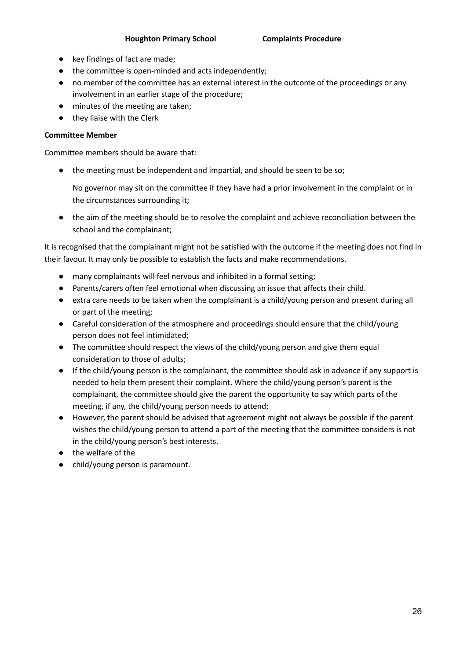- key findings of fact are made:
- the committee is open-minded and acts independently;
- no member of the committee has an external interest in the outcome of the proceedings or any involvement in an earlier stage of the procedure;
- minutes of the meeting are taken;
- they liaise with the Clerk

### **Committee Member**

Committee members should be aware that:

● the meeting must be independent and impartial, and should be seen to be so;

No governor may sit on the committee if they have had a prior involvement in the complaint or in the circumstances surrounding it;

● the aim of the meeting should be to resolve the complaint and achieve reconciliation between the school and the complainant;

It is recognised that the complainant might not be satisfied with the outcome if the meeting does not find in their favour. It may only be possible to establish the facts and make recommendations.

- many complainants will feel nervous and inhibited in a formal setting;
- Parents/carers often feel emotional when discussing an issue that affects their child.
- extra care needs to be taken when the complainant is a child/young person and present during all or part of the meeting;
- Careful consideration of the atmosphere and proceedings should ensure that the child/young person does not feel intimidated;
- The committee should respect the views of the child/young person and give them equal consideration to those of adults;
- If the child/young person is the complainant, the committee should ask in advance if any support is needed to help them present their complaint. Where the child/young person's parent is the complainant, the committee should give the parent the opportunity to say which parts of the meeting, if any, the child/young person needs to attend;
- However, the parent should be advised that agreement might not always be possible if the parent wishes the child/young person to attend a part of the meeting that the committee considers is not in the child/young person's best interests.
- the welfare of the
- child/young person is paramount.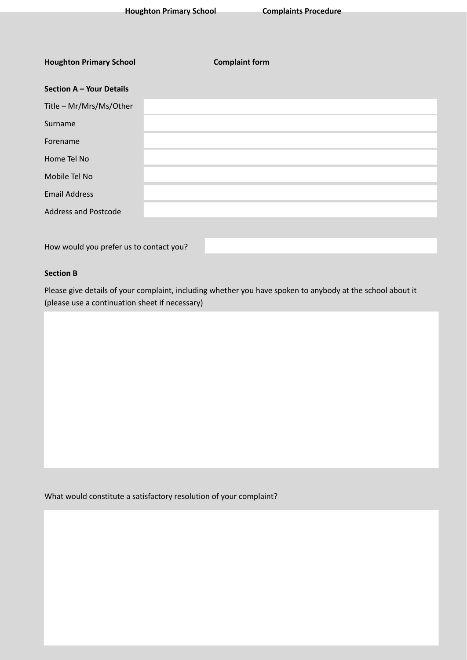| <b>Houghton Primary School</b>          | <b>Complaint form</b> |  |
|-----------------------------------------|-----------------------|--|
| Section A - Your Details                |                       |  |
| Title - Mr/Mrs/Ms/Other                 |                       |  |
| Surname                                 |                       |  |
| Forename                                |                       |  |
| Home Tel No                             |                       |  |
| Mobile Tel No                           |                       |  |
| <b>Email Address</b>                    |                       |  |
| <b>Address and Postcode</b>             |                       |  |
|                                         |                       |  |
| How would you prefer us to contact you? |                       |  |

# **Section B**

Please give details of your complaint, including whether you have spoken to anybody at the school about it (please use a continuation sheet if necessary)

What would constitute a satisfactory resolution of your complaint?